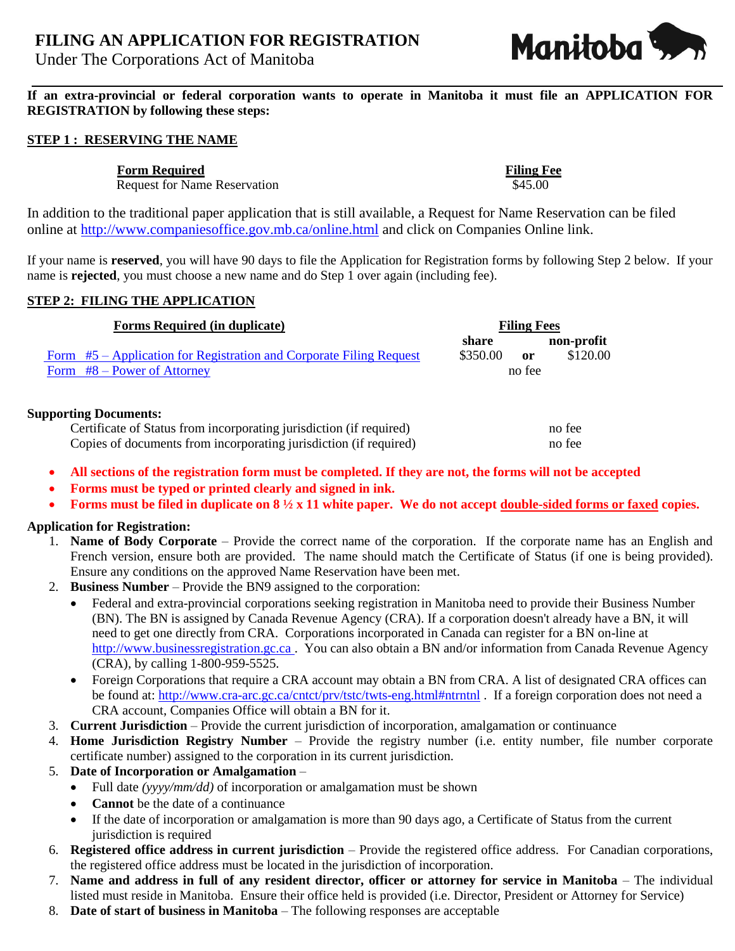# **FILING AN APPLICATION FOR REGISTRATION**

Under The Corporations Act of Manitoba

Manitoba S

**If an extra-provincial or federal corporation wants to operate in Manitoba it must file an APPLICATION FOR REGISTRATION by following these steps:**

#### **STEP 1 : RESERVING THE NAME**

**Form Required Filing Fee** 

Request for Name Reservation  $$45.00$ 

In addition to the traditional paper application that is still available, a Request for Name Reservation can be filed online at<http://www.companiesoffice.gov.mb.ca/online.html> and click on Companies Online link.

If your name is **reserved**, you will have 90 days to file the Application for Registration forms by following Step 2 below. If your name is **rejected**, you must choose a new name and do Step 1 over again (including fee).

#### **STEP 2: FILING THE APPLICATION**

| <b>Forms Required (in duplicate)</b>                                                                 | <b>Filing Fees</b>                                          |
|------------------------------------------------------------------------------------------------------|-------------------------------------------------------------|
| Form #5 – Application for Registration and Corporate Filing Request<br>Form $#8 - Power$ of Attorney | non-profit<br>share<br>\$120.00<br>\$350.00<br>or<br>no fee |
| <b>Supporting Documents:</b>                                                                         |                                                             |

Certificate of Status from incorporating jurisdiction (if required) no fee Copies of documents from incorporating jurisdiction (if required) no fee

- **All sections of the registration form must be completed. If they are not, the forms will not be accepted**
- **Forms must be typed or printed clearly and signed in ink.**
- **Forms must be filed in duplicate on 8 ½ x 11 white paper. We do not accept double-sided forms or faxed copies.**

## **Application for Registration:**

- 1. **Name of Body Corporate** Provide the correct name of the corporation. If the corporate name has an English and French version, ensure both are provided. The name should match the Certificate of Status (if one is being provided). Ensure any conditions on the approved Name Reservation have been met.
- 2. **Business Number** Provide the BN9 assigned to the corporation:
	- Federal and extra-provincial corporations seeking registration in Manitoba need to provide their Business Number (BN). The BN is assigned by Canada Revenue Agency (CRA). If a corporation doesn't already have a BN, it will need to get one directly from CRA. Corporations incorporated in Canada can register for a BN on-line at [http://www.businessregistration.gc.ca](http://www.businessregistration.gc.ca/) . You can also obtain a BN and/or information from Canada Revenue Agency (CRA), by calling 1-800-959-5525.
	- Foreign Corporations that require a CRA account may obtain a BN from CRA. A list of designated CRA offices can be found at: <http://www.cra-arc.gc.ca/cntct/prv/tstc/twts-eng.html#ntrntnl> . If a foreign corporation does not need a CRA account, Companies Office will obtain a BN for it.
- 3. **Current Jurisdiction** Provide the current jurisdiction of incorporation, amalgamation or continuance
- 4. **Home Jurisdiction Registry Number** Provide the registry number (i.e. entity number, file number corporate certificate number) assigned to the corporation in its current jurisdiction.
- 5. **Date of Incorporation or Amalgamation**
	- Full date *(yyyy/mm/dd)* of incorporation or amalgamation must be shown
	- **Cannot** be the date of a continuance
	- If the date of incorporation or amalgamation is more than 90 days ago, a Certificate of Status from the current jurisdiction is required
- 6. **Registered office address in current jurisdiction** Provide the registered office address. For Canadian corporations, the registered office address must be located in the jurisdiction of incorporation.
- 7. **Name and address in full of any resident director, officer or attorney for service in Manitoba**  The individual listed must reside in Manitoba. Ensure their office held is provided (i.e. Director, President or Attorney for Service)
- 8. **Date of start of business in Manitoba** The following responses are acceptable